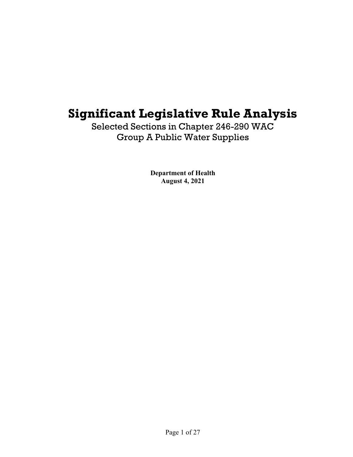# **Significant Legislative Rule Analysis**

Selected Sections in Chapter 246-290 WAC Group A Public Water Supplies

> **Department of Health August 4, 2021**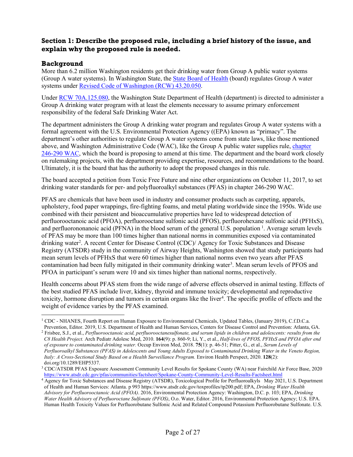# **Section 1: Describe the proposed rule, including a brief history of the issue, and explain why the proposed rule is needed.**

# **Background**

More than 6.2 million Washington residents get their drinking water from Group A public water systems (Group A water systems). In Washington State, the [State Board of Health](https://sboh.wa.gov/) (board) regulates Group A water systems under [Revised Code of Washington \(RCW\) 43.20.050.](https://app.leg.wa.gov/rcw/default.aspx?cite=43.20.050)

Under [RCW 70A.125.080,](https://apps.leg.wa.gov/rcw/default.aspx?cite=70A.125.080) the Washington State Department of Health (department) is directed to administer a Group A drinking water program with at least the elements necessary to assume primary enforcement responsibility of the federal Safe Drinking Water Act.

The department administers the Group A drinking water program and regulates Group A water systems with a formal agreement with the U.S. Environmental Protection Agency ((EPA) known as "primacy". The department's other authorities to regulate Group A water systems come from state laws, like those mentioned above, and Washington Administrative Code (WAC), like the Group A public water supplies rule, [chapter](https://apps.leg.wa.gov/wac/default.aspx?cite=246-290)  [246-290](https://apps.leg.wa.gov/wac/default.aspx?cite=246-290) WAC, which the board is proposing to amend at this time. The department and the board work closely on rulemaking projects, with the department providing expertise, resources, and recommendations to the board. Ultimately, it is the board that has the authority to adopt the proposed changes in this rule.

The board accepted a petition from Toxic Free Future and nine other organizations on October 11, 2017, to set drinking water standards for per- and polyfluoroalkyl substances (PFAS) in chapter 246-290 WAC.

PFAS are chemicals that have been used in industry and consumer products such as carpeting, apparels, upholstery, food paper wrappings, fire-fighting foams, and metal plating worldwide since the 1950s. Wide use combined with their persistent and bioaccumulative properties have led to widespread detection of perfluorooctanoic acid (PFOA), perfluorooctane sulfonic acid (PFOS), perfluorohexane sulfonic acid (PFHxS), and perfluorononanoic acid (PFNA) in the blood serum of the general U.S. population <sup>[1](#page-1-0)</sup>. Average serum levels of PFAS may be more than 100 times higher than national norms in communities exposed via contaminated drinking water<sup>[2](#page-1-1)</sup>. A recent Center for Disease Control (CDC)/ Agency for Toxic Substances and Disease Registry (ATSDR) study in the community of Airway Heights, Washington showed that study participants had mean serum levels of PFHxS that were 60 times higher than national norms even two years after PFAS contamination had been fully mitigated in their community drinking water<sup>[3](#page-1-2)</sup>. Mean serum levels of PFOS and PFOA in participant's serum were 10 and six times higher than national norms, respectively.

Health concerns about PFAS stem from the wide range of adverse effects observed in animal testing. Effects of the best studied PFAS include liver, kidney, thyroid and immune toxicity; developmental and reproductive toxicity, hormone disruption and tumors in certain organs like the liver<sup>[4](#page-1-3)</sup>. The specific profile of effects and the weight of evidence varies by the PFAS examined.

<span id="page-1-0"></span><sup>1</sup> CDC - NHANES, Fourth Report on Human Exposure to Environmental Chemicals, Updated Tables, (January 2019), C.f.D.C.a. Prevention, Editor. 2019, U.S. Department of Health and Human Services, Centers for Disease Control and Prevention: Atlanta, GA.

<span id="page-1-1"></span><sup>2</sup> Frisbee, S.J., et al., *Perfluorooctanoic acid, perfluorooctanesulfonate, and serum lipids in children and adolescents: results from the C8 Health Project.* Arch Pediatr Adolesc Med, 2010. **164**(9): p. 860-9; Li, Y., et al., *Half-lives of PFOS, PFHxS and PFOA after end of exposure to contaminated drinking water.* Occup Environ Med, 2018. **75**(1): p. 46-51; Pitter, G., et al., *Serum Levels of Perfluoroalkyl Substances (PFAS) in Adolescents and Young Adults Exposed to Contaminated Drinking Water in the Veneto Region, Italy: A Cross-Sectional Study Based on a Health Surveillance Program.* Environ Health Perspect, 2020. **128**(2): doi.org/10.1289/EHP5337.

<span id="page-1-2"></span><sup>3</sup> CDC/ATSDR PFAS Exposure Assessment Community Level Results for Spokane County (WA) near Fairchild Air Force Base, 2020 <https://www.atsdr.cdc.gov/pfas/communities/factsheet/Spokane-County-Community-Level-Results-Factsheet.html>

<span id="page-1-3"></span><sup>&</sup>lt;sup>4</sup> Agency for Toxic Substances and Disease Registry (ATSDR), Toxicological Profile for Perfluoroalkyls May 2021, U.S. Department of Health and Human Services: Atlanta. p 993 https://www.atsdr.cdc.gov/toxprofiles/tp200.pdf; EPA, *Drinking Water Health Advisory for Perfluorooctanoic Acid (PFOA)*. 2016, Environmental Protection Agency: Washington, D.C. p. 103; EPA, *Drinking Water Health Advisory of Perfluoroctane Sulfonate (PFOS)*, O.o. Water, Editor. 2016, Environmental Protection Agency; U.S. EPA. Human Health Toxicity Values for Perfluorobutane Sulfonic Acid and Related Compound Potassium Perfluorobutane Sulfonate. U.S.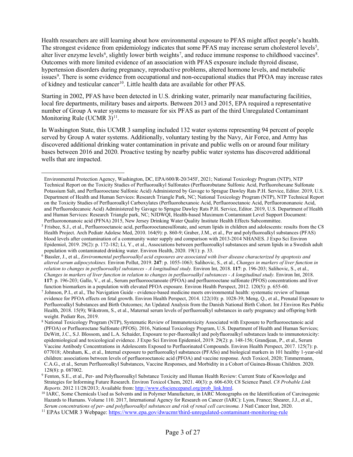Health researchers are still learning about how environmental exposure to PFAS might affect people's health. The strongest evidence from epidemiology indicates that some PFAS may increase serum cholesterol levels<sup>[5](#page-2-0)</sup>, alter liver enzyme levels<sup>[6](#page-2-1)</sup>, slightly lower birth weights<sup>[7](#page-2-2)</sup>, and reduce immune response to childhood vaccines<sup>[8](#page-2-3)</sup>. Outcomes with more limited evidence of an association with PFAS exposure include thyroid disease, hypertension disorders during pregnancy, reproductive problems, altered hormone levels, and metabolic issues<sup>[9](#page-2-4)</sup>. There is some evidence from occupational and non-occupational studies that PFOA may increase rates of kidney and testicular cancer<sup>10</sup>. Little health data are available for other PFAS.

Starting in 2002, PFAS have been detected in U.S. drinking water, primarily near manufacturing facilities, local fire departments, military bases and airports. Between 2013 and 2015, EPA required a representative number of Group A water systems to measure for six PFAS as part of the third Unregulated Contaminant Monitoring Rule (UCMR  $3)^{11}$ .

In Washington State, this UCMR 3 sampling included 132 water systems representing 94 percent of people served by Group A water systems. Additionally, voluntary testing by the Navy, Air Force, and Army has discovered additional drinking water contamination in private and public wells on or around four military bases between 2016 and 2020. Proactive testing by nearby public water systems has discovered additional wells that are impacted.

Environmental Protection Agency, Washington, DC, EPA/600/R-20/345F, 2021; National Toxicology Program (NTP), NTP Technical Report on the Toxicity Studies of Perfluoroalkyl Sulfonates (Perfluorobutane Sulfonic Acid, Perfluorohexane Sulfonate Potassium Salt, and Perfluorooctane Sulfonic Acid) Administered by Gavage to Sprague Dawley Rats P.H. Service, Editor. 2019, U.S. Department of Health and Human Services: Research Triangle Park, NC; National Toxicology Program (NTP), NTP Technical Report on the Toxicity Studies of Perfluoroalkyl Carboxylates (Perfluorohexanoic Acid, Perfluorooctanoic Acid, Perfluorononanoic Acid, and Perfluorodecanoic Acid) Administered by Gavage to Sprague Dawley Rats P.H. Service, Editor. 2019, U.S. Department of Health and Human Services: Research Triangle park, NC; NJDWQI, Health-based Maximum Contaminant Level Support Document: Perfluorononanoic acid (PFNA) 2015, New Jersey Drinking Water Quality Institute Health Effects Subcommittee.

<span id="page-2-0"></span><sup>&</sup>lt;sup>5</sup> Frisbee, S.J., et al., Perfluorooctanoic acid, perfluorooctanesulfonate, and serum lipids in children and adolescents: results from the C8 Health Project. Arch Pediatr Adolesc Med, 2010. 164(9): p. 860-9; Graber, J.M., et al., Per and polyfluoroalkyl substances (PFAS) blood levels after contamination of a community water supply and comparison with 2013-2014 NHANES. J Expo Sci Environ Epidemiol, 2019. 29(2): p. 172-182; Li, Y., et al., Associations between perfluoroalkyl substances and serum lipids in a Swedish adult population with contaminated drinking water. Environ Health, 2020. 19(1): p. 33.

<span id="page-2-1"></span><sup>6</sup> Bassler, J., et al., *Environmental perfluoroalkyl acid exposures are associated with liver disease characterized by apoptosis and altered serum adipocytokines.* Environ Pollut, 2019. **247**: p. 1055-1063; Salihovic, S., et al., *Changes in markers of liver function in relation to changes in perfluoroalkyl substances - A longitudinal study.* Environ Int, 2018. **117**: p. 196-203; Salihovic, S., et al., *Changes in markers of liver function in relation to changes in perfluoroalkyl substances - A longitudinal study.* Environ Int, 2018. **117**: p. 196-203; Gallo, V., et al., Serum perfluorooctanoate (PFOA) and perfluorooctane sulfonate (PFOS) concentrations and liver function biomarkers in a population with elevated PFOA exposure. Environ Health Perspect, 2012. 120(5): p. 655-60.

<span id="page-2-2"></span><sup>7</sup> Johnson, P.I., et al., The Navigation Guide - evidence-based medicine meets environmental health: systematic review of human evidence for PFOA effects on fetal growth. Environ Health Perspect, 2014. 122(10): p. 1028-39; Meng, Q., et al., Prenatal Exposure to Perfluoroalkyl Substances and Birth Outcomes; An Updated Analysis from the Danish National Birth Cohort. Int J Environ Res Public Health, 2018. 15(9); Wikstrom, S., et al., Maternal serum levels of perfluoroalkyl substances in early pregnancy and offspring birth weight. Pediatr Res, 2019.

<span id="page-2-3"></span><sup>8</sup> National Toxicology Program (NTP), Systematic Review of Immunotoxicity Associated with Exposure to Perfluorooctanoic acid (PFOA) or Perfluoroctane Sulfonate (PFOS). 2016, National Toxicology Program, U.S. Department of Health and Human Services; DeWitt, J.C., S.J. Blossom, and L.A. Schaider, Exposure to per-fluoroalkyl and polyfluoroalkyl substances leads to immunotoxicity: epidemiological and toxicological evidence. J Expo Sci Environ Epidemiol, 2019. 29(2): p. 148-156; Grandjean, P., et al., Serum Vaccine Antibody Concentrations in Adolescents Exposed to Perfluorinated Compounds. Environ Health Perspect, 2017. 125(7): p. 077018; Abraham, K., et al., Internal exposure to perfluoroalkyl substances (PFASs) and biological markers in 101 healthy 1-year-old children: associations between levels of perfluorooctanoic acid (PFOA) and vaccine response. Arch Toxicol, 2020; Timmermann, C.A.G., et al., Serum Perfluoroalkyl Substances, Vaccine Responses, and Morbidity in a Cohort of Guinea-Bissau Children. 2020. 128(8): p. 087002.

<span id="page-2-4"></span><sup>9</sup> Fenton, S.E., et al., Per- and Polyfluoroalkyl Substance Toxicity and Human Health Review: Current State of Knowledge and Strategies for Informing Future Research. Environ Toxicol Chem, 2021. 40(3): p. 606-630; C8 Science Panel. *C8 Probable Link Reports*. 2012 11/28/2013; Available from[: http://www.c8sciencepanel.org/prob\\_link.html.](http://www.c8sciencepanel.org/prob_link.html)

<span id="page-2-5"></span><sup>&</sup>lt;sup>10</sup> IARC, Some Chemicals Used as Solvents and in Polymer Manufacture, in IARC Monographs on the Identification of Carcinogenic Hazards to Humans. Volume 110. 2017, International Agency for Research on Cancer (IARC): Lyon, France; Shearer, J.J., et al., *Serum concentrations of per- and polyfluoroalkyl substances and risk of renal cell carcinoma.* J Natl Cancer Inst, 2020.

<span id="page-2-6"></span><sup>&</sup>lt;sup>11</sup> EPAs UCMR 3 Webpage: <https://www.epa.gov/dwucmr/third-unregulated-contaminant-monitoring-rule>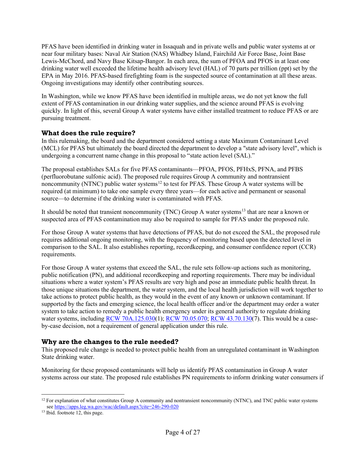PFAS have been identified in drinking water in Issaquah and in private wells and public water systems at or near four military bases: Naval Air Station (NAS) Whidbey Island, Fairchild Air Force Base, Joint Base Lewis-McChord, and Navy Base Kitsap-Bangor. In each area, the sum of PFOA and PFOS in at least one drinking water well exceeded the lifetime health advisory level (HAL) of 70 parts per trillion (ppt) set by the EPA in May 2016. PFAS-based firefighting foam is the suspected source of contamination at all these areas. Ongoing investigations may identify other contributing sources.

In Washington, while we know PFAS have been identified in multiple areas, we do not yet know the full extent of PFAS contamination in our drinking water supplies, and the science around PFAS is evolving quickly. In light of this, several Group A water systems have either installed treatment to reduce PFAS or are pursuing treatment.

#### **What does the rule require?**

In this rulemaking, the board and the department considered setting a state Maximum Contaminant Level (MCL) for PFAS but ultimately the board directed the department to develop a "state advisory level", which is undergoing a concurrent name change in this proposal to "state action level (SAL)."

The proposal establishes SALs for five PFAS contaminants—PFOA, PFOS, PFHxS, PFNA, and PFBS (perfluorobutane sulfonic acid). The proposed rule requires Group A community and nontransient noncommunity (NTNC) public water systems<sup>[12](#page-3-0)</sup> to test for PFAS. These Group A water systems will be required (at minimum) to take one sample every three years—for each active and permanent or seasonal source—to determine if the drinking water is contaminated with PFAS.

It should be noted that transient noncommunity (TNC) Group A water systems<sup>[13](#page-3-1)</sup> that are near a known or suspected area of PFAS contamination may also be required to sample for PFAS under the proposed rule.

For those Group A water systems that have detections of PFAS, but do not exceed the SAL, the proposed rule requires additional ongoing monitoring, with the frequency of monitoring based upon the detected level in comparison to the SAL. It also establishes reporting, recordkeeping, and consumer confidence report (CCR) requirements.

For those Group A water systems that exceed the SAL, the rule sets follow-up actions such as monitoring, public notification (PN), and additional recordkeeping and reporting requirements. There may be individual situations where a water system's PFAS results are very high and pose an immediate public health threat. In those unique situations the department, the water system, and the local health jurisdiction will work together to take actions to protect public health, as they would in the event of any known or unknown contaminant. If supported by the facts and emerging science, the local health officer and/or the department may order a water system to take action to remedy a public health emergency under its general authority to regulate drinking water systems, including [RCW 70A.125.030\(](https://app.leg.wa.gov/rcw/default.aspx?cite=70A.125.030)1)[; RCW 70.05.070;](https://app.leg.wa.gov/rcw/default.aspx?cite=70.05.070) [RCW 43.70.130\(](https://app.leg.wa.gov/rcw/default.aspx?cite=43.70.130)7). This would be a caseby-case decision, not a requirement of general application under this rule.

#### **Why are the changes to the rule needed?**

This proposed rule change is needed to protect public health from an unregulated contaminant in Washington State drinking water.

Monitoring for these proposed contaminants will help us identify PFAS contamination in Group A water systems across our state. The proposed rule establishes PN requirements to inform drinking water consumers if

<span id="page-3-0"></span> $12$  For explanation of what constitutes Group A community and nontransient noncommunity (NTNC), and TNC public water systems se[e https://apps.leg.wa.gov/wac/default.aspx?cite=246-290-020](https://apps.leg.wa.gov/wac/default.aspx?cite=246-290-020)

<span id="page-3-1"></span><sup>&</sup>lt;sup>13</sup> Ibid. footnote 12, this page.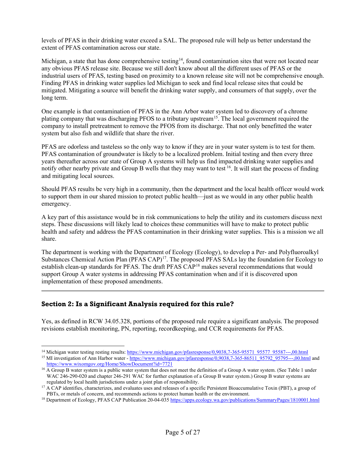levels of PFAS in their drinking water exceed a SAL. The proposed rule will help us better understand the extent of PFAS contamination across our state.

Michigan, a state that has done comprehensive testing<sup>[14](#page-4-0)</sup>, found contamination sites that were not located near any obvious PFAS release site. Because we still don't know about all the different uses of PFAS or the industrial users of PFAS, testing based on proximity to a known release site will not be comprehensive enough. Finding PFAS in drinking water supplies led Michigan to seek and find local release sites that could be mitigated. Mitigating a source will benefit the drinking water supply, and consumers of that supply, over the long term.

One example is that contamination of PFAS in the Ann Arbor water system led to discovery of a chrome plating company that was discharging PFOS to a tributary upstream<sup>15</sup>. The local government required the company to install pretreatment to remove the PFOS from its discharge. That not only benefitted the water system but also fish and wildlife that share the river.

PFAS are odorless and tasteless so the only way to know if they are in your water system is to test for them. PFAS contamination of groundwater is likely to be a localized problem. Initial testing and then every three years thereafter across our state of Group A systems will help us find impacted drinking water supplies and notify other nearby private and Group B wells that they may want to test <sup>[16](#page-4-2)</sup>. It will start the process of finding and mitigating local sources.

Should PFAS results be very high in a community, then the department and the local health officer would work to support them in our shared mission to protect public health—just as we would in any other public health emergency.

A key part of this assistance would be in risk communications to help the utility and its customers discuss next steps. These discussions will likely lead to choices these communities will have to make to protect public health and safety and address the PFAS contamination in their drinking water supplies. This is a mission we all share.

The department is working with the Department of Ecology (Ecology), to develop a Per- and Polyfluoroalkyl Substances Chemical Action Plan (PFAS CAP)<sup>17</sup>. The proposed PFAS SALs lay the foundation for Ecology to establish clean-up standards for PFAS. The draft PFAS CAP<sup>[18](#page-4-4)</sup> makes several recommendations that would support Group A water systems in addressing PFAS contamination when and if it is discovered upon implementation of these proposed amendments.

# **Section 2: Is a Significant Analysis required for this rule?**

Yes, as defined in RCW 34.05.328, portions of the proposed rule require a significant analysis. The proposed revisions establish monitoring, PN, reporting, recordkeeping, and CCR requirements for PFAS.

<span id="page-4-1"></span><span id="page-4-0"></span><sup>&</sup>lt;sup>14</sup> Michigan water testing resting results: https://www.michigan.gov/pfasresponse/0,9038,7-365-95571\_95577\_95587---,00.html<br><sup>15</sup> MI investigation of Ann Harbor water - https://www.michigan.gov/pfasresponse/0,9038,7-365-86

<https://www.wixomgov.org/Home/ShowDocument?id=7721>

<span id="page-4-2"></span><sup>&</sup>lt;sup>16</sup> A Group B water system is a public water system that does not meet the definition of a Group A water system. (See Table 1 under WAC 246-290-020 and chapter 246-291 WAC for further explanation of a Group B water system.) Group B water systems are

<span id="page-4-3"></span>regulated by local health jurisdictions under a joint plan of responsibility.<br><sup>17</sup> A CAP identifies, characterizes, and evaluates uses and releases of a specific Persistent Bioaccumulative Toxin (PBT), a group of PBTs, or metals of concern, and recommends actions to protect human health or the environment.

<span id="page-4-4"></span><sup>&</sup>lt;sup>18</sup> Department of Ecology, PFAS CAP Publication 20-04-03[5 https://apps.ecology.wa.gov/publications/SummaryPages/1810001.html](https://apps.ecology.wa.gov/publications/SummaryPages/1810001.html)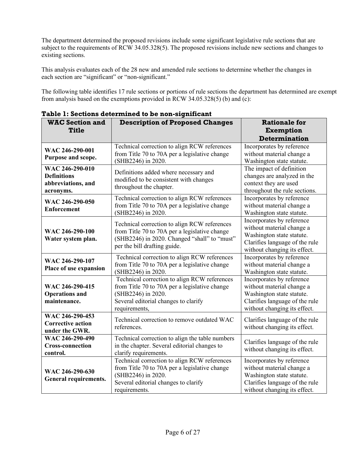The department determined the proposed revisions include some significant legislative rule sections that are subject to the requirements of RCW 34.05.328(5). The proposed revisions include new sections and changes to existing sections.

This analysis evaluates each of the 28 new and amended rule sections to determine whether the changes in each section are "significant" or "non-significant."

The following table identifies 17 rule sections or portions of rule sections the department has determined are exempt from analysis based on the exemptions provided in RCW 34.05.328(5) (b) and (c):

|                                           | radie 1. Secudiis determined to be non-significant |                                |  |  |
|-------------------------------------------|----------------------------------------------------|--------------------------------|--|--|
| <b>WAC Section and</b>                    | <b>Description of Proposed Changes</b>             | <b>Rationale for</b>           |  |  |
| <b>Title</b>                              |                                                    | <b>Exemption</b>               |  |  |
|                                           |                                                    | Determination                  |  |  |
| WAC 246-290-001                           | Technical correction to align RCW references       | Incorporates by reference      |  |  |
|                                           | from Title 70 to 70A per a legislative change      | without material change a      |  |  |
| Purpose and scope.                        | (SHB2246) in 2020.                                 | Washington state statute.      |  |  |
| WAC 246-290-010                           | Definitions added where necessary and              | The impact of definition       |  |  |
| <b>Definitions</b>                        | modified to be consistent with changes             | changes are analyzed in the    |  |  |
| abbreviations, and                        | throughout the chapter.                            | context they are used          |  |  |
| acronyms.                                 |                                                    | throughout the rule sections.  |  |  |
| WAC 246-290-050                           | Technical correction to align RCW references       | Incorporates by reference      |  |  |
|                                           | from Title 70 to 70A per a legislative change      | without material change a      |  |  |
| <b>Enforcement</b>                        | (SHB2246) in 2020.                                 | Washington state statute.      |  |  |
|                                           |                                                    | Incorporates by reference      |  |  |
| WAC 246-290-100                           | Technical correction to align RCW references       | without material change a      |  |  |
|                                           | from Title 70 to 70A per a legislative change      | Washington state statute.      |  |  |
| Water system plan.                        | (SHB2246) in 2020. Changed "shall" to "must"       | Clarifies language of the rule |  |  |
|                                           | per the bill drafting guide.                       | without changing its effect.   |  |  |
| WAC 246-290-107<br>Place of use expansion | Technical correction to align RCW references       | Incorporates by reference      |  |  |
|                                           | from Title 70 to 70A per a legislative change      | without material change a      |  |  |
|                                           | (SHB2246) in 2020.                                 | Washington state statute.      |  |  |
|                                           | Technical correction to align RCW references       | Incorporates by reference      |  |  |
| WAC 246-290-415                           | from Title 70 to 70A per a legislative change      | without material change a      |  |  |
| <b>Operations and</b>                     | (SHB2246) in 2020.                                 | Washington state statute.      |  |  |
| maintenance.                              | Several editorial changes to clarify               | Clarifies language of the rule |  |  |
|                                           | requirements,                                      | without changing its effect.   |  |  |
| WAC 246-290-453                           | Technical correction to remove outdated WAC        | Clarifies language of the rule |  |  |
| <b>Corrective action</b>                  | references.                                        | without changing its effect.   |  |  |
| under the GWR.                            |                                                    |                                |  |  |
| WAC 246-290-490                           | Technical correction to align the table numbers    | Clarifies language of the rule |  |  |
| <b>Cross-connection</b>                   | in the chapter. Several editorial changes to       | without changing its effect.   |  |  |
| control.                                  | clarify requirements.                              |                                |  |  |
|                                           | Technical correction to align RCW references       | Incorporates by reference      |  |  |
| WAC 246-290-630                           | from Title 70 to 70A per a legislative change      | without material change a      |  |  |
| <b>General requirements.</b>              | (SHB2246) in 2020.                                 | Washington state statute.      |  |  |
|                                           | Several editorial changes to clarify               | Clarifies language of the rule |  |  |
|                                           | requirements.                                      | without changing its effect.   |  |  |

**Table 1: Sections determined to be non-significant**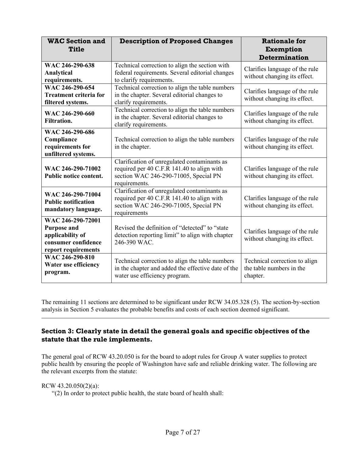| <b>WAC Section and</b><br><b>Title</b>                                                                    | <b>Description of Proposed Changes</b>                                                                                                               | <b>Rationale for</b><br><b>Exemption</b><br><b>Determination</b>      |
|-----------------------------------------------------------------------------------------------------------|------------------------------------------------------------------------------------------------------------------------------------------------------|-----------------------------------------------------------------------|
| WAC 246-290-638<br>Analytical<br>requirements.                                                            | Technical correction to align the section with<br>federal requirements. Several editorial changes<br>to clarify requirements.                        | Clarifies language of the rule<br>without changing its effect.        |
| WAC 246-290-654<br><b>Treatment criteria for</b><br>filtered systems.                                     | Technical correction to align the table numbers<br>in the chapter. Several editorial changes to<br>clarify requirements.                             | Clarifies language of the rule<br>without changing its effect.        |
| WAC 246-290-660<br><b>Filtration.</b>                                                                     | Technical correction to align the table numbers<br>in the chapter. Several editorial changes to<br>clarify requirements.                             | Clarifies language of the rule<br>without changing its effect.        |
| WAC 246-290-686<br>Compliance<br>requirements for<br>unfiltered systems.                                  | Technical correction to align the table numbers<br>in the chapter.                                                                                   | Clarifies language of the rule<br>without changing its effect.        |
| WAC 246-290-71002<br>Public notice content.                                                               | Clarification of unregulated contaminants as<br>required per 40 C.F.R 141.40 to align with<br>section WAC 246-290-71005, Special PN<br>requirements. | Clarifies language of the rule<br>without changing its effect.        |
| WAC 246-290-71004<br><b>Public notification</b><br>mandatory language.                                    | Clarification of unregulated contaminants as<br>required per 40 C.F.R 141.40 to align with<br>section WAC 246-290-71005, Special PN<br>requirements  | Clarifies language of the rule<br>without changing its effect.        |
| WAC 246-290-72001<br><b>Purpose and</b><br>applicability of<br>consumer confidence<br>report requirements | Revised the definition of "detected" to "state<br>detection reporting limit" to align with chapter<br>246-390 WAC.                                   | Clarifies language of the rule<br>without changing its effect.        |
| WAC 246-290-810<br>Water use efficiency<br>program.                                                       | Technical correction to align the table numbers<br>in the chapter and added the effective date of the<br>water use efficiency program.               | Technical correction to align<br>the table numbers in the<br>chapter. |

The remaining 11 sections are determined to be significant under RCW 34.05.328 (5). The section-by-section analysis in Section 5 evaluates the probable benefits and costs of each section deemed significant.

# **Section 3: Clearly state in detail the general goals and specific objectives of the statute that the rule implements.**

The general goal of RCW 43.20.050 is for the board to adopt rules for Group A water supplies to protect public health by ensuring the people of Washington have safe and reliable drinking water. The following are the relevant excerpts from the statute:

RCW 43.20.050(2)(a):

"(2) In order to protect public health, the state board of health shall: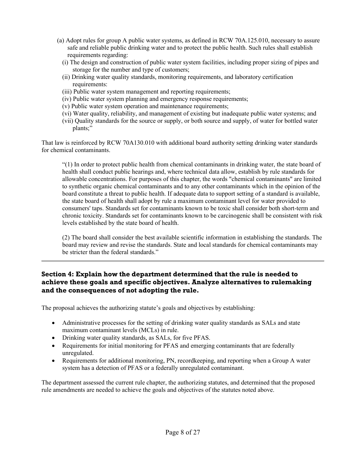- (a) Adopt rules for group A public water systems, as defined in RCW 70A.125.010, necessary to assure safe and reliable public drinking water and to protect the public health. Such rules shall establish requirements regarding:
	- (i) The design and construction of public water system facilities, including proper sizing of pipes and storage for the number and type of customers;
	- (ii) Drinking water quality standards, monitoring requirements, and laboratory certification requirements:
	- (iii) Public water system management and reporting requirements;
	- (iv) Public water system planning and emergency response requirements;
	- (v) Public water system operation and maintenance requirements;
	- (vi) Water quality, reliability, and management of existing but inadequate public water systems; and
	- (vii) Quality standards for the source or supply, or both source and supply, of water for bottled water plants;"

That law is reinforced by RCW 70A130.010 with additional board authority setting drinking water standards for chemical contaminants.

"(1) In order to protect public health from chemical contaminants in drinking water, the state board of health shall conduct public hearings and, where technical data allow, establish by rule standards for allowable concentrations. For purposes of this chapter, the words "chemical contaminants" are limited to synthetic organic chemical contaminants and to any other contaminants which in the opinion of the board constitute a threat to public health. If adequate data to support setting of a standard is available, the state board of health shall adopt by rule a maximum contaminant level for water provided to consumers' taps. Standards set for contaminants known to be toxic shall consider both short-term and chronic toxicity. Standards set for contaminants known to be carcinogenic shall be consistent with risk levels established by the state board of health.

(2) The board shall consider the best available scientific information in establishing the standards. The board may review and revise the standards. State and local standards for chemical contaminants may be stricter than the federal standards."

# **Section 4: Explain how the department determined that the rule is needed to achieve these goals and specific objectives. Analyze alternatives to rulemaking and the consequences of not adopting the rule.**

The proposal achieves the authorizing statute's goals and objectives by establishing:

- Administrative processes for the setting of drinking water quality standards as SALs and state maximum contaminant levels (MCLs) in rule.
- Drinking water quality standards, as SALs, for five PFAS.
- Requirements for initial monitoring for PFAS and emerging contaminants that are federally unregulated.
- Requirements for additional monitoring, PN, recordkeeping, and reporting when a Group A water system has a detection of PFAS or a federally unregulated contaminant.

The department assessed the current rule chapter, the authorizing statutes, and determined that the proposed rule amendments are needed to achieve the goals and objectives of the statutes noted above.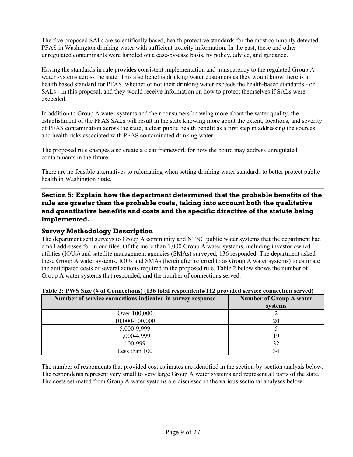The five proposed SALs are scientifically based, health protective standards for the most commonly detected PFAS in Washington drinking water with sufficient toxicity information. In the past, these and other unregulated contaminants were handled on a case-by-case basis, by policy, advice, and guidance.

Having the standards in rule provides consistent implementation and transparency to the regulated Group A water systems across the state. This also benefits drinking water customers as they would know there is a health based standard for PFAS, whether or not their drinking water exceeds the health-based standards - or SALs - in this proposal, and they would receive information on how to protect themselves if SALs were exceeded.

In addition to Group A water systems and their consumers knowing more about the water quality, the establishment of the PFAS SALs will result in the state knowing more about the extent, locations, and severity of PFAS contamination across the state, a clear public health benefit as a first step in addressing the sources and health risks associated with PFAS contaminated drinking water.

The proposed rule changes also create a clear framework for how the board may address unregulated contaminants in the future.

There are no feasible alternatives to rulemaking when setting drinking water standards to better protect public health in Washington State.

**Section 5: Explain how the department determined that the probable benefits of the rule are greater than the probable costs, taking into account both the qualitative and quantitative benefits and costs and the specific directive of the statute being implemented.**

# **Survey Methodology Description**

The department sent surveys to Group A community and NTNC public water systems that the department had email addresses for in our files. Of the more than 1,000 Group A water systems, including investor owned utilities (IOUs) and satellite management agencies (SMAs) surveyed, 136 responded. The department asked these Group A water systems, IOUs and SMAs (hereinafter referred to as Group A water systems) to estimate the anticipated costs of several actions required in the proposed rule. Table 2 below shows the number of Group A water systems that responded, and the number of connections served.

| Number of service connections indicated in survey response | Number of Group A water<br>systems |
|------------------------------------------------------------|------------------------------------|
| Over 100,000                                               |                                    |
| 10,000-100,000                                             | 20                                 |
| 5,000-9,999                                                |                                    |
| 1,000-4,999                                                | ١q                                 |
| 100-999                                                    | 32                                 |
| Less than 100                                              | 34                                 |

#### **Table 2: PWS Size (# of Connections) (136 total respondents/112 provided service connection served)**

The number of respondents that provided cost estimates are identified in the section-by-section analysis below. The respondents represent very small to very large Group A water systems and represent all parts of the state. The costs estimated from Group A water systems are discussed in the various sectional analyses below.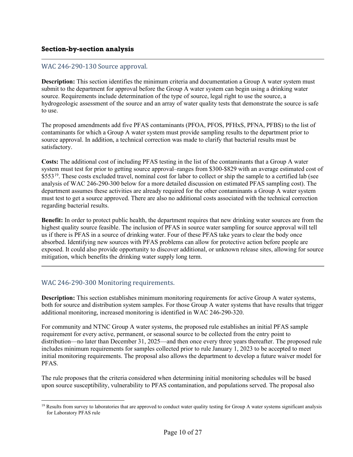## WAC 246-290-130 Source approval.

**Description:** This section identifies the minimum criteria and documentation a Group A water system must submit to the department for approval before the Group A water system can begin using a drinking water source. Requirements include determination of the type of source, legal right to use the source, a hydrogeologic assessment of the source and an array of water quality tests that demonstrate the source is safe to use.

The proposed amendments add five PFAS contaminants (PFOA, PFOS, PFHxS, PFNA, PFBS) to the list of contaminants for which a Group A water system must provide sampling results to the department prior to source approval. In addition, a technical correction was made to clarify that bacterial results must be satisfactory.

**Costs:** The additional cost of including PFAS testing in the list of the contaminants that a Group A water system must test for prior to getting source approval–ranges from \$300-\$829 with an average estimated cost of \$553<sup>19</sup>. These costs excluded travel, nominal cost for labor to collect or ship the sample to a certified lab (see analysis of WAC 246-290-300 below for a more detailed discussion on estimated PFAS sampling cost). The department assumes these activities are already required for the other contaminants a Group A water system must test to get a source approved. There are also no additional costs associated with the technical correction regarding bacterial results.

**Benefit:** In order to protect public health, the department requires that new drinking water sources are from the highest quality source feasible. The inclusion of PFAS in source water sampling for source approval will tell us if there is PFAS in a source of drinking water. Four of these PFAS take years to clear the body once absorbed. Identifying new sources with PFAS problems can allow for protective action before people are exposed. It could also provide opportunity to discover additional, or unknown release sites, allowing for source mitigation, which benefits the drinking water supply long term.

### WAC 246-290-300 Monitoring requirements.

**Description:** This section establishes minimum monitoring requirements for active Group A water systems, both for source and distribution system samples. For those Group A water systems that have results that trigger additional monitoring, increased monitoring is identified in WAC 246-290-320.

For community and NTNC Group A water systems, the proposed rule establishes an initial PFAS sample requirement for every active, permanent, or seasonal source to be collected from the entry point to distribution—no later than December 31, 2025—and then once every three years thereafter. The proposed rule includes minimum requirements for samples collected prior to rule January 1, 2023 to be accepted to meet initial monitoring requirements. The proposal also allows the department to develop a future waiver model for PFAS.

The rule proposes that the criteria considered when determining initial monitoring schedules will be based upon source susceptibility, vulnerability to PFAS contamination, and populations served. The proposal also

<span id="page-9-0"></span><sup>&</sup>lt;sup>19</sup> Results from survey to laboratories that are approved to conduct water quality testing for Group A water systems significant analysis for Laboratory PFAS rule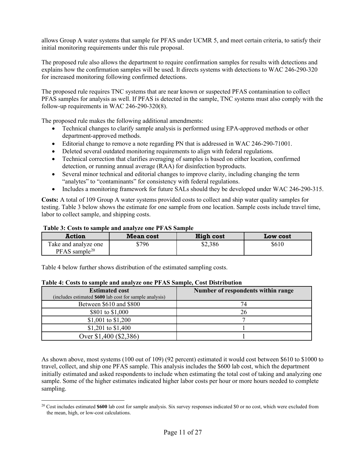allows Group A water systems that sample for PFAS under UCMR 5, and meet certain criteria, to satisfy their initial monitoring requirements under this rule proposal.

The proposed rule also allows the department to require confirmation samples for results with detections and explains how the confirmation samples will be used. It directs systems with detections to WAC 246-290-320 for increased monitoring following confirmed detections.

The proposed rule requires TNC systems that are near known or suspected PFAS contamination to collect PFAS samples for analysis as well. If PFAS is detected in the sample, TNC systems must also comply with the follow-up requirements in WAC 246-290-320(8).

The proposed rule makes the following additional amendments:

- Technical changes to clarify sample analysis is performed using EPA-approved methods or other department-approved methods.
- Editorial change to remove a note regarding PN that is addressed in WAC 246-290-71001.
- Deleted several outdated monitoring requirements to align with federal regulations.
- Technical correction that clarifies averaging of samples is based on either location, confirmed detection, or running annual average (RAA) for disinfection byproducts.
- Several minor technical and editorial changes to improve clarity, including changing the term "analytes" to "contaminants" for consistency with federal regulations.
- Includes a monitoring framework for future SALs should they be developed under WAC 246-290-315.

**Costs:** A total of 109 Group A water systems provided costs to collect and ship water quality samples for testing. Table 3 below shows the estimate for one sample from one location. Sample costs include travel time, labor to collect sample, and shipping costs.

| THAT REPORT TO DRIID A MINE WILL THE ONE THAT MAILBLE |                  |           |                 |  |  |  |
|-------------------------------------------------------|------------------|-----------|-----------------|--|--|--|
| <b>Action</b>                                         | <b>Mean cost</b> | High cost | <b>Low cost</b> |  |  |  |
| Take and analyze one<br>$PFAST sample^{20}$           | 5796             | \$2,386   | \$610           |  |  |  |

**Table 3: Costs to sample and analyze one PFAS Sample**

Table 4 below further shows distribution of the estimated sampling costs.

| <b>Estimated cost</b>                                   | Number of respondents within range |
|---------------------------------------------------------|------------------------------------|
| (includes estimated \$600 lab cost for sample analysis) |                                    |
| Between \$610 and \$800                                 | 74                                 |
| \$801 to \$1,000                                        | 26                                 |
| \$1,001 to \$1,200                                      |                                    |
| \$1,201 to \$1,400                                      |                                    |
| Over \$1,400 (\$2,386)                                  |                                    |

#### **Table 4: Costs to sample and analyze one PFAS Sample, Cost Distribution**

As shown above, most systems (100 out of 109) (92 percent) estimated it would cost between \$610 to \$1000 to travel, collect, and ship one PFAS sample. This analysis includes the \$600 lab cost, which the department initially estimated and asked respondents to include when estimating the total cost of taking and analyzing one sample. Some of the higher estimates indicated higher labor costs per hour or more hours needed to complete sampling.

<span id="page-10-0"></span><sup>20</sup> Cost includes estimated **\$600** lab cost for sample analysis. Six survey responses indicated \$0 or no cost, which were excluded from the mean, high, or low-cost calculations.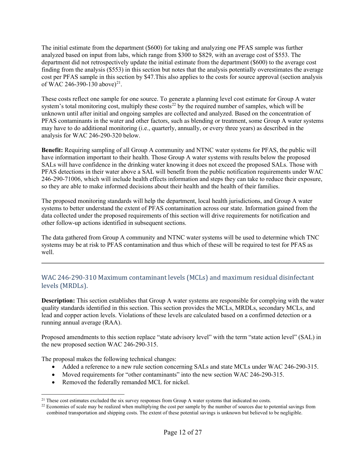The initial estimate from the department (\$600) for taking and analyzing one PFAS sample was further analyzed based on input from labs, which range from \$300 to \$829, with an average cost of \$553. The department did not retrospectively update the initial estimate from the department (\$600) to the average cost finding from the analysis (\$553) in this section but notes that the analysis potentially overestimates the average cost per PFAS sample in this section by \$47.This also applies to the costs for source approval (section analysis of WAC 246-390-130 above)<sup>[21](#page-11-0)</sup>.

These costs reflect one sample for one source. To generate a planning level cost estimate for Group A water system's total monitoring cost, multiply these  $\cos t s^{22}$  $\cos t s^{22}$  $\cos t s^{22}$  by the required number of samples, which will be unknown until after initial and ongoing samples are collected and analyzed. Based on the concentration of PFAS contaminants in the water and other factors, such as blending or treatment, some Group A water systems may have to do additional monitoring (i.e., quarterly, annually, or every three years) as described in the analysis for WAC 246-290-320 below.

**Benefit:** Requiring sampling of all Group A community and NTNC water systems for PFAS, the public will have information important to their health. Those Group A water systems with results below the proposed SALs will have confidence in the drinking water knowing it does not exceed the proposed SALs. Those with PFAS detections in their water above a SAL will benefit from the public notification requirements under WAC 246-290-71006, which will include health effects information and steps they can take to reduce their exposure, so they are able to make informed decisions about their health and the health of their families.

The proposed monitoring standards will help the department, local health jurisdictions, and Group A water systems to better understand the extent of PFAS contamination across our state. Information gained from the data collected under the proposed requirements of this section will drive requirements for notification and other follow-up actions identified in subsequent sections.

The data gathered from Group A community and NTNC water systems will be used to determine which TNC systems may be at risk to PFAS contamination and thus which of these will be required to test for PFAS as well.

# WAC 246-290-310 Maximum contaminant levels (MCLs) and maximum residual disinfectant levels (MRDLs).

**Description:** This section establishes that Group A water systems are responsible for complying with the water quality standards identified in this section. This section provides the MCLs, MRDLs, secondary MCLs, and lead and copper action levels. Violations of these levels are calculated based on a confirmed detection or a running annual average (RAA).

Proposed amendments to this section replace "state advisory level" with the term "state action level" (SAL) in the new proposed section WAC 246-290-315.

The proposal makes the following technical changes:

- Added a reference to a new rule section concerning SALs and state MCLs under WAC 246-290-315.
- Moved requirements for "other contaminants" into the new section WAC 246-290-315.
- Removed the federally remanded MCL for nickel.

<span id="page-11-1"></span><span id="page-11-0"></span> $21$  These cost estimates excluded the six survey responses from Group A water systems that indicated no costs.<br><sup>22</sup> Economies of scale may be realized when multiplying the cost per sample by the number of sources due to

combined transportation and shipping costs. The extent of these potential savings is unknown but believed to be negligible.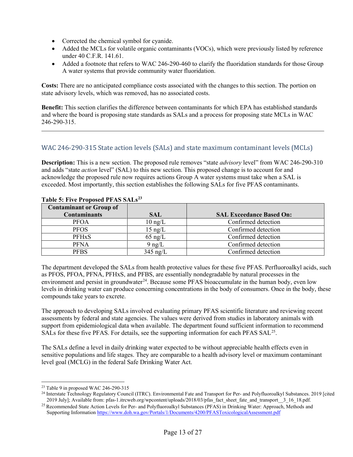- Corrected the chemical symbol for cyanide.
- Added the MCLs for volatile organic contaminants (VOCs), which were previously listed by reference under 40 C.F.R. 141.61.
- Added a footnote that refers to WAC 246-290-460 to clarify the fluoridation standards for those Group A water systems that provide community water fluoridation.

**Costs:** There are no anticipated compliance costs associated with the changes to this section. The portion on state advisory levels, which was removed, has no associated costs.

**Benefit:** This section clarifies the difference between contaminants for which EPA has established standards and where the board is proposing state standards as SALs and a process for proposing state MCLs in WAC 246-290-315.

### WAC 246-290-315 State action levels (SALs) and state maximum contaminant levels (MCLs)

**Description:** This is a new section. The proposed rule removes "state *advisory* level" from WAC 246-290-310 and adds "state *action* level" (SAL) to this new section. This proposed change is to account for and acknowledge the proposed rule now requires actions Group A water systems must take when a SAL is exceeded. Most importantly, this section establishes the following SALs for five PFAS contaminants.

| <b>Contaminant or Group of</b> |                   |                                 |
|--------------------------------|-------------------|---------------------------------|
| <b>Contaminants</b>            | <b>SAL</b>        | <b>SAL Exceedance Based On:</b> |
| <b>PFOA</b>                    | $10 \text{ ng/L}$ | Confirmed detection             |
| <b>PFOS</b>                    | $15$ ng/L         | Confirmed detection             |
| <b>PFHxS</b>                   | $65$ ng/L         | Confirmed detection             |
| <b>PFNA</b>                    | $9$ ng/L          | Confirmed detection             |
| <b>PFBS</b>                    | $345$ ng/L        | Confirmed detection             |

#### **Table 5: Five Proposed PFAS SALs[23](#page-12-0)**

The department developed the SALs from health protective values for these five PFAS. Perfluoroalkyl acids, such as PFOS, PFOA, PFNA, PFHxS, and PFBS, are essentially nondegradable by natural processes in the environment and persist in groundwater<sup>24</sup>. Because some PFAS bioaccumulate in the human body, even low levels in drinking water can produce concerning concentrations in the body of consumers. Once in the body, these compounds take years to excrete.

The approach to developing SALs involved evaluating primary PFAS scientific literature and reviewing recent assessments by federal and state agencies. The values were derived from studies in laboratory animals with support from epidemiological data when available. The department found sufficient information to recommend SALs for these five PFAS. For details, see the supporting information for each PFAS SAL<sup>25</sup>.

The SALs define a level in daily drinking water expected to be without appreciable health effects even in sensitive populations and life stages. They are comparable to a health advisory level or maximum contaminant level goal (MCLG) in the federal Safe Drinking Water Act.

<span id="page-12-0"></span><sup>23</sup> Table 9 in proposed WAC 246-290-315

<span id="page-12-1"></span><sup>&</sup>lt;sup>24</sup> Interstate Technology Regulatory Council (ITRC). Environmental Fate and Transport for Per- and Polyfluoroalkyl Substances. 2019 [cited 2019 July]; Available from: pfas-1.itrcweb.org/wpcontent/uploads/2018/03/pfas\_fact\_sheet\_fate\_and\_transport\_3\_16\_18.pdf.

<span id="page-12-2"></span><sup>&</sup>lt;sup>25</sup> Recommended State Action Levels for Per- and Polyfluoroalkyl Substances (PFAS) in Drinking Water: Approach, Methods and Supporting Information <https://www.doh.wa.gov/Portals/1/Documents/4200/PFASToxicologicalAssessment.pdf>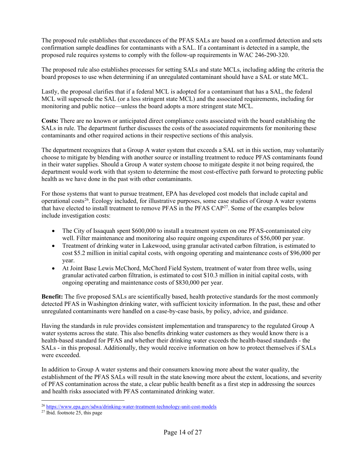The proposed rule establishes that exceedances of the PFAS SALs are based on a confirmed detection and sets confirmation sample deadlines for contaminants with a SAL. If a contaminant is detected in a sample, the proposed rule requires systems to comply with the follow-up requirements in WAC 246-290-320.

The proposed rule also establishes processes for setting SALs and state MCLs, including adding the criteria the board proposes to use when determining if an unregulated contaminant should have a SAL or state MCL.

Lastly, the proposal clarifies that if a federal MCL is adopted for a contaminant that has a SAL, the federal MCL will supersede the SAL (or a less stringent state MCL) and the associated requirements, including for monitoring and public notice—unless the board adopts a more stringent state MCL.

**Costs:** There are no known or anticipated direct compliance costs associated with the board establishing the SALs in rule. The department further discusses the costs of the associated requirements for monitoring these contaminants and other required actions in their respective sections of this analysis.

The department recognizes that a Group A water system that exceeds a SAL set in this section, may voluntarily choose to mitigate by blending with another source or installing treatment to reduce PFAS contaminants found in their water supplies. Should a Group A water system choose to mitigate despite it not being required, the department would work with that system to determine the most cost-effective path forward to protecting public health as we have done in the past with other contaminants.

For those systems that want to pursue treatment, EPA has developed cost models that include capital and operational costs[26.](#page-13-0) Ecology included, for illustrative purposes, some case studies of Group A water systems that have elected to install treatment to remove PFAS in the PFAS CA[P27](#page-13-1). Some of the examples below include investigation costs:

- The City of Issaquah spent \$600,000 to install a treatment system on one PFAS-contaminated city well. Filter maintenance and monitoring also require ongoing expenditures of \$56,000 per year.
- Treatment of drinking water in Lakewood, using granular activated carbon filtration, is estimated to cost \$5.2 million in initial capital costs, with ongoing operating and maintenance costs of \$96,000 per year.
- At Joint Base Lewis McChord, McChord Field System, treatment of water from three wells, using granular activated carbon filtration, is estimated to cost \$10.3 million in initial capital costs, with ongoing operating and maintenance costs of \$830,000 per year.

**Benefit:** The five proposed SALs are scientifically based, health protective standards for the most commonly detected PFAS in Washington drinking water, with sufficient toxicity information. In the past, these and other unregulated contaminants were handled on a case-by-case basis, by policy, advice, and guidance.

Having the standards in rule provides consistent implementation and transparency to the regulated Group A water systems across the state. This also benefits drinking water customers as they would know there is a health-based standard for PFAS and whether their drinking water exceeds the health-based standards - the SALs - in this proposal. Additionally, they would receive information on how to protect themselves if SALs were exceeded.

In addition to Group A water systems and their consumers knowing more about the water quality, the establishment of the PFAS SALs will result in the state knowing more about the extent, locations, and severity of PFAS contamination across the state, a clear public health benefit as a first step in addressing the sources and health risks associated with PFAS contaminated drinking water.

<span id="page-13-0"></span><sup>26</sup> <https://www.epa.gov/sdwa/drinking-water-treatment-technology-unit-cost-models>

<span id="page-13-1"></span> $27$  Ibid. footnote 25, this page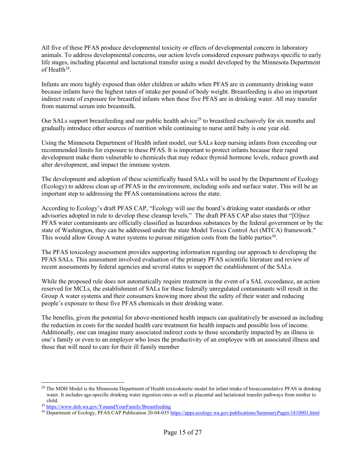All five of these PFAS produce developmental toxicity or effects of developmental concern in laboratory animals. To address developmental concerns, our action levels considered exposure pathways specific to early life stages, including placental and lactational transfer using a model developed by the Minnesota Department of Health<sup>28</sup>.

Infants are more highly exposed than older children or adults when PFAS are in community drinking water because infants have the highest rates of intake per pound of body weight. Breastfeeding is also an important indirect route of exposure for breastfed infants when these five PFAS are in drinking water. All may transfer from maternal serum into breastmilk.

Our SALs support breastfeeding and our public health advice<sup>29</sup> to breastfeed exclusively for six months and gradually introduce other sources of nutrition while continuing to nurse until baby is one year old.

Using the Minnesota Department of Health infant model, our SALs keep nursing infants from exceeding our recommended limits for exposure to these PFAS. It is important to protect infants because their rapid development make them vulnerable to chemicals that may reduce thyroid hormone levels, reduce growth and alter development, and impact the immune system.

The development and adoption of these scientifically based SALs will be used by the Department of Ecology (Ecology) to address clean up of PFAS in the environment, including soils and surface water. This will be an important step to addressing the PFAS contaminations across the state.

According to Ecology's draft PFAS CAP, "Ecology will use the board's drinking water standards or other advisories adopted in rule to develop these cleanup levels." The draft PFAS CAP also states that "[O]nce PFAS water contaminants are officially classified as hazardous substances by the federal government or by the state of Washington, they can be addressed under the state Model Toxics Control Act (MTCA) framework." This would allow Group A water systems to pursue mitigation costs from the liable parties<sup>30</sup>.

The PFAS toxicology assessment provides supporting information regarding our approach to developing the PFAS SALs. This assessment involved evaluation of the primary PFAS scientific literature and review of recent assessments by federal agencies and several states to support the establishment of the SALs.

While the proposed rule does not automatically require treatment in the event of a SAL exceedance, an action reserved for MCLs, the establishment of SALs for these federally unregulated contaminants will result in the Group A water systems and their consumers knowing more about the safety of their water and reducing people's exposure to these five PFAS chemicals in their drinking water.

The benefits, given the potential for above-mentioned health impacts can qualitatively be assessed as including the reduction in costs for the needed health care treatment for health impacts and possible loss of income. Additionally, one can imagine many associated indirect costs to those secondarily impacted by an illness in one's family or even to an employer who loses the productivity of an employee with an associated illness and those that will need to care for their ill family member

<span id="page-14-0"></span> $^{28}$  The MDH Model is the Minnesota Department of Health toxicokinetic model for infant intake of bioaccumulative PFAS in drinking water. It includes age-specific drinking water ingestion rates as well as placental and lactational transfer pathways from mother to child.

<span id="page-14-1"></span><sup>29</sup> <https://www.doh.wa.gov/YouandYourFamily/Breastfeeding>

<span id="page-14-2"></span><sup>&</sup>lt;sup>30</sup> Department of Ecology, PFAS CAP Publication 20-04-03[5 https://apps.ecology.wa.gov/publications/SummaryPages/1810001.html](https://apps.ecology.wa.gov/publications/SummaryPages/1810001.html)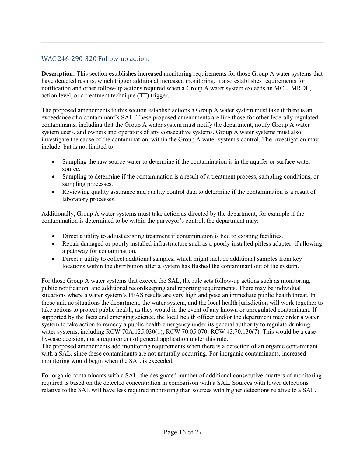# WAC 246-290-320 Follow-up action.

**Description:** This section establishes increased monitoring requirements for those Group A water systems that have detected results, which trigger additional increased monitoring. It also establishes requirements for notification and other follow-up actions required when a Group A water system exceeds an MCL, MRDL, action level, or a treatment technique (TT) trigger.

The proposed amendments to this section establish actions a Group A water system must take if there is an exceedance of a contaminant's SAL. These proposed amendments are like those for other federally regulated contaminants, including that the Group A water system must notify the department, notify Group A water system users, and owners and operators of any consecutive systems. Group A water systems must also investigate the cause of the contamination, within the Group A water system's control. The investigation may include, but is not limited to:

- Sampling the raw source water to determine if the contamination is in the aquifer or surface water source.
- Sampling to determine if the contamination is a result of a treatment process, sampling conditions, or sampling processes.
- Reviewing quality assurance and quality control data to determine if the contamination is a result of laboratory processes.

Additionally, Group A water systems must take action as directed by the department, for example if the contamination is determined to be within the purveyor's control, the department may:

- Direct a utility to adjust existing treatment if contamination is tied to existing facilities.
- Repair damaged or poorly installed infrastructure such as a poorly installed pitless adapter, if allowing a pathway for contamination.
- Direct a utility to collect additional samples, which might include additional samples from key locations within the distribution after a system has flushed the contaminant out of the system.

For those Group A water systems that exceed the SAL, the rule sets follow-up actions such as monitoring, public notification, and additional recordkeeping and reporting requirements. There may be individual situations where a water system's PFAS results are very high and pose an immediate public health threat. In those unique situations the department, the water system, and the local health jurisdiction will work together to take actions to protect public health, as they would in the event of any known or unregulated contaminant. If supported by the facts and emerging science, the local health officer and/or the department may order a water system to take action to remedy a public health emergency under its general authority to regulate drinking water systems, including RCW 70A.125.030(1); RCW 70.05.070; RCW 43.70.130(7). This would be a caseby-case decision, not a requirement of general application under this rule.

The proposed amendments add monitoring requirements when there is a detection of an organic contaminant with a SAL, since these contaminants are not naturally occurring. For inorganic contaminants, increased monitoring would begin when the SAL is exceeded.

For organic contaminants with a SAL, the designated number of additional consecutive quarters of monitoring required is based on the detected concentration in comparison with a SAL. Sources with lower detections relative to the SAL will have less required monitoring than sources with higher detections relative to a SAL.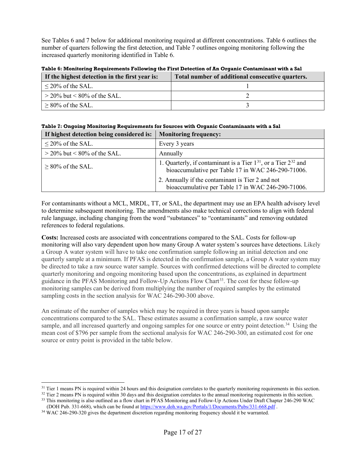See Tables 6 and 7 below for additional monitoring required at different concentrations. Table 6 outlines the number of quarters following the first detection, and Table 7 outlines ongoing monitoring following the increased quarterly monitoring identified in Table 6.

**Table 6: Monitoring Requirements Following the First Detection of An Organic Contaminant with a Sal**

| If the highest detection in the first year is: | Total number of additional consecutive quarters. |
|------------------------------------------------|--------------------------------------------------|
| $\leq$ 20% of the SAL.                         |                                                  |
| $\geq$ 20% but < 80% of the SAL.               |                                                  |
| $\geq$ 80% of the SAL.                         |                                                  |

|   |  | Table 7: Ongoing Monitoring Requirements for Sources with Organic Contaminants with a Sal |  |  |  |  |  |  |
|---|--|-------------------------------------------------------------------------------------------|--|--|--|--|--|--|
| . |  |                                                                                           |  |  |  |  |  |  |

| If highest detection being considered is: | <b>Monitoring frequency:</b>                                                                                                   |
|-------------------------------------------|--------------------------------------------------------------------------------------------------------------------------------|
| $\leq$ 20% of the SAL.                    | Every 3 years                                                                                                                  |
| $>$ 20% but < 80% of the SAL.             | Annually                                                                                                                       |
| $\geq$ 80% of the SAL.                    | 1. Quarterly, if contaminant is a Tier $1^{31}$ , or a Tier $2^{32}$ and<br>bioaccumulative per Table 17 in WAC 246-290-71006. |
|                                           | 2. Annually if the contaminant is Tier 2 and not<br>bioaccumulative per Table 17 in WAC 246-290-71006.                         |

For contaminants without a MCL, MRDL, TT, or SAL, the department may use an EPA health advisory level to determine subsequent monitoring. The amendments also make technical corrections to align with federal rule language, including changing from the word "substances" to "contaminants" and removing outdated references to federal regulations.

**Costs:** Increased costs are associated with concentrations compared to the SAL. Costs for follow-up monitoring will also vary dependent upon how many Group A water system's sources have detections. Likely a Group A water system will have to take one confirmation sample following an initial detection and one quarterly sample at a minimum. If PFAS is detected in the confirmation sample, a Group A water system may be directed to take a raw source water sample. Sources with confirmed detections will be directed to complete quarterly monitoring and ongoing monitoring based upon the concentrations, as explained in department guidance in the PFAS Monitoring and Follow-Up Actions Flow Chart<sup>33</sup>. The cost for these follow-up monitoring samples can be derived from multiplying the number of required samples by the estimated sampling costs in the section analysis for WAC 246-290-300 above.

An estimate of the number of samples which may be required in three years is based upon sample concentrations compared to the SAL. These estimates assume a confirmation sample, a raw source water sample, and all increased quarterly and ongoing samples for one source or entry point detection.<sup>[34](#page-16-3)</sup> Using the mean cost of \$796 per sample from the sectional analysis for WAC 246-290-300, an estimated cost for one source or entry point is provided in the table below.

<span id="page-16-0"></span><sup>&</sup>lt;sup>31</sup> Tier 1 means PN is required within 24 hours and this designation correlates to the quarterly monitoring requirements in this section.

<span id="page-16-2"></span><span id="page-16-1"></span> $32$  Tier 2 means PN is required within 30 days and this designation correlates to the annual monitoring requirements in this section. <sup>33</sup> This monitoring is also outlined as a flow chart in PFAS Monitoring and Follow-Up Actions Under Draft Chapter 246-290 WAC

[<sup>\(</sup>DOH Pub. 331-668\)](https://www.doh.wa.gov/Portals/1/Documents/Pubs/331-668.pdf), which can be found a[t https://www.doh.wa.gov/Portals/1/Documents/Pubs/331-668.pdf](https://www.doh.wa.gov/Portals/1/Documents/Pubs/331-668.pdf) .

<span id="page-16-3"></span><sup>&</sup>lt;sup>34</sup> WAC 246-290-320 gives the department discretion regarding monitoring frequency should it be warranted.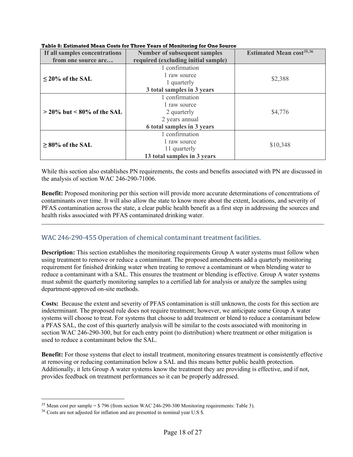| If all samples concentrations  | <b>Number of subsequent samples</b> | <b>Estimated Mean cost</b> <sup>35,36</sup> |  |
|--------------------------------|-------------------------------------|---------------------------------------------|--|
| from one source are            | required (excluding initial sample) |                                             |  |
|                                | 1 confirmation                      |                                             |  |
| $\leq$ 20% of the SAL          | 1 raw source                        | \$2,388                                     |  |
|                                | 1 quarterly                         |                                             |  |
|                                | 3 total samples in 3 years          |                                             |  |
|                                | 1 confirmation                      |                                             |  |
|                                | 1 raw source                        |                                             |  |
| $>$ 20% but $<$ 80% of the SAL | 2 quarterly                         | \$4,776                                     |  |
|                                | 2 years annual                      |                                             |  |
|                                | 6 total samples in 3 years          |                                             |  |
|                                | 1 confirmation                      |                                             |  |
| $\geq$ 80% of the SAL          | 1 raw source                        | \$10,348                                    |  |
|                                | 11 quarterly                        |                                             |  |
|                                | 13 total samples in 3 years         |                                             |  |

#### **Table 8: Estimated Mean Costs for Three Years of Monitoring for One Source**

While this section also establishes PN requirements, the costs and benefits associated with PN are discussed in the analysis of section WAC 246-290-71006.

**Benefit:** Proposed monitoring per this section will provide more accurate determinations of concentrations of contaminants over time. It will also allow the state to know more about the extent, locations, and severity of PFAS contamination across the state, a clear public health benefit as a first step in addressing the sources and health risks associated with PFAS contaminated drinking water.

### WAC 246-290-455 Operation of chemical contaminant treatment facilities.

**Description:** This section establishes the monitoring requirements Group A water systems must follow when using treatment to remove or reduce a contaminant. The proposed amendments add a quarterly monitoring requirement for finished drinking water when treating to remove a contaminant or when blending water to reduce a contaminant with a SAL. This ensures the treatment or blending is effective. Group A water systems must submit the quarterly monitoring samples to a certified lab for analysis or analyze the samples using department-approved on-site methods.

**Costs:** Because the extent and severity of PFAS contamination is still unknown, the costs for this section are indeterminant. The proposed rule does not require treatment; however, we anticipate some Group A water systems will choose to treat. For systems that choose to add treatment or blend to reduce a contaminant below a PFAS SAL, the cost of this quarterly analysis will be similar to the costs associated with monitoring in section WAC 246-290-300, but for each entry point (to distribution) where treatment or other mitigation is used to reduce a contaminant below the SAL.

**Benefit:** For those systems that elect to install treatment, monitoring ensures treatment is consistently effective at removing or reducing contamination below a SAL and this means better public health protection. Additionally, it lets Group A water systems know the treatment they are providing is effective, and if not, provides feedback on treatment performances so it can be properly addressed.

<span id="page-17-0"></span><sup>35</sup> Mean cost per sample = \$ 796 (from section WAC 246-290-300 Monitoring requirements: Table 3).

<span id="page-17-1"></span><sup>&</sup>lt;sup>36</sup> Costs are not adjusted for inflation and are presented in nominal year U.S \$.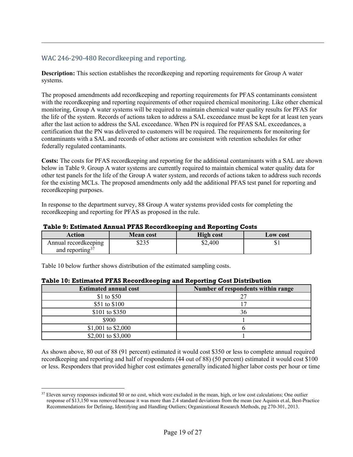# WAC 246-290-480 Recordkeeping and reporting.

**Description:** This section establishes the recordkeeping and reporting requirements for Group A water systems.

The proposed amendments add recordkeeping and reporting requirements for PFAS contaminants consistent with the recordkeeping and reporting requirements of other required chemical monitoring. Like other chemical monitoring, Group A water systems will be required to maintain chemical water quality results for PFAS for the life of the system. Records of actions taken to address a SAL exceedance must be kept for at least ten years after the last action to address the SAL exceedance. When PN is required for PFAS SAL exceedances, a certification that the PN was delivered to customers will be required. The requirements for monitoring for contaminants with a SAL and records of other actions are consistent with retention schedules for other federally regulated contaminants.

**Costs:** The costs for PFAS recordkeeping and reporting for the additional contaminants with a SAL are shown below in Table 9. Group A water systems are currently required to maintain chemical water quality data for other test panels for the life of the Group A water system, and records of actions taken to address such records for the existing MCLs. The proposed amendments only add the additional PFAS test panel for reporting and recordkeeping purposes.

In response to the department survey, 88 Group A water systems provided costs for completing the recordkeeping and reporting for PFAS as proposed in the rule.

| Action                      | <b>Mean cost</b> | <b>High cost</b> | <b>Low cost</b> |  |  |  |
|-----------------------------|------------------|------------------|-----------------|--|--|--|
| Annual record keeping       | \$235            | \$2,400          | ΦΙ              |  |  |  |
| and reporting <sup>3/</sup> |                  |                  |                 |  |  |  |

**Table 9: Estimated Annual PFAS Recordkeeping and Reporting Costs**

Table 10 below further shows distribution of the estimated sampling costs.

| <b>Estimated annual cost</b> | Number of respondents within range |  |  |
|------------------------------|------------------------------------|--|--|
| \$1 to \$50                  |                                    |  |  |
| \$51 to \$100                |                                    |  |  |
| \$101 to \$350               | 36                                 |  |  |
| \$900                        |                                    |  |  |
| \$1,001 to \$2,000           |                                    |  |  |
| \$2,001 to \$3,000           |                                    |  |  |

### **Table 10: Estimated PFAS Recordkeeping and Reporting Cost Distribution**

As shown above, 80 out of 88 (91 percent) estimated it would cost \$350 or less to complete annual required recordkeeping and reporting and half of respondents (44 out of 88) (50 percent) estimated it would cost \$100 or less. Responders that provided higher cost estimates generally indicated higher labor costs per hour or time

<span id="page-18-0"></span><sup>&</sup>lt;sup>37</sup> Eleven survey responses indicated \$0 or no cost, which were excluded in the mean, high, or low cost calculations; One outlier response of \$13,150 was removed because it was more than 2.4 standard deviations from the mean (see Aquinis et.al, Best-Practice Recommendations for Defining, Identifying and Handling Outliers; Organizational Research Methods, pg 270-301, 2013.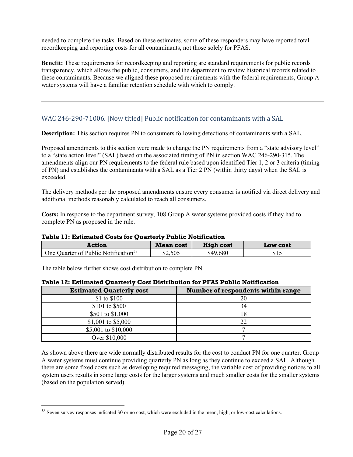needed to complete the tasks. Based on these estimates, some of these responders may have reported total recordkeeping and reporting costs for all contaminants, not those solely for PFAS.

**Benefit:** These requirements for recordkeeping and reporting are standard requirements for public records transparency, which allows the public, consumers, and the department to review historical records related to these contaminants. Because we aligned these proposed requirements with the federal requirements, Group A water systems will have a familiar retention schedule with which to comply.

# WAC 246-290-71006. [Now titled] Public notification for contaminants with a SAL

**Description:** This section requires PN to consumers following detections of contaminants with a SAL.

Proposed amendments to this section were made to change the PN requirements from a "state advisory level" to a "state action level" (SAL) based on the associated timing of PN in section WAC 246-290-315. The amendments align our PN requirements to the federal rule based upon identified Tier 1, 2 or 3 criteria (timing of PN) and establishes the contaminants with a SAL as a Tier 2 PN (within thirty days) when the SAL is exceeded.

The delivery methods per the proposed amendments ensure every consumer is notified via direct delivery and additional methods reasonably calculated to reach all consumers.

**Costs:** In response to the department survey, 108 Group A water systems provided costs if they had to complete PN as proposed in the rule.

#### **Table 11: Estimated Costs for Quarterly Public Notification**

| Action                                           | <b>Mean cost</b> | <b>High cost</b> | <b>Low cost</b>  |
|--------------------------------------------------|------------------|------------------|------------------|
| One Quarter of Public Notification <sup>38</sup> | \$2,505          | \$49,680         | $\bigcap$<br>312 |

The table below further shows cost distribution to complete PN.

| <b>Estimated Quarterly cost</b> | Number of respondents within range |
|---------------------------------|------------------------------------|
| \$1 to \$100                    | 20                                 |
| \$101 to \$500                  | 34                                 |
| \$501 to \$1,000                | 18                                 |
| \$1,001 to \$5,000              | 22                                 |
| \$5,001 to \$10,000             |                                    |
| Over \$10,000                   |                                    |

#### **Table 12: Estimated Quarterly Cost Distribution for PFAS Public Notification**

As shown above there are wide normally distributed results for the cost to conduct PN for one quarter. Group A water systems must continue providing quarterly PN as long as they continue to exceed a SAL. Although there are some fixed costs such as developing required messaging, the variable cost of providing notices to all system users results in some large costs for the larger systems and much smaller costs for the smaller systems (based on the population served).

<span id="page-19-0"></span><sup>&</sup>lt;sup>38</sup> Seven survey responses indicated \$0 or no cost, which were excluded in the mean, high, or low-cost calculations.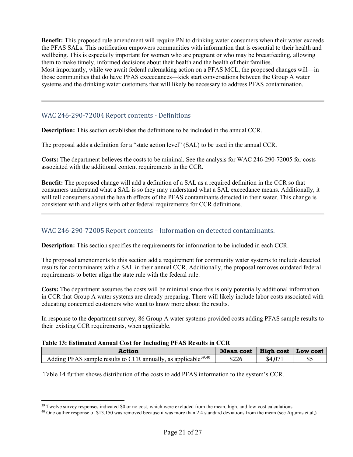**Benefit:** This proposed rule amendment will require PN to drinking water consumers when their water exceeds the PFAS SALs. This notification empowers communities with information that is essential to their health and wellbeing. This is especially important for women who are pregnant or who may be breastfeeding, allowing them to make timely, informed decisions about their health and the health of their families. Most importantly, while we await federal rulemaking action on a PFAS MCL, the proposed changes will—in those communities that do have PFAS exceedances—kick start conversations between the Group A water systems and the drinking water customers that will likely be necessary to address PFAS contamination.

## WAC 246-290-72004 Report contents - Definitions

**Description:** This section establishes the definitions to be included in the annual CCR.

The proposal adds a definition for a "state action level" (SAL) to be used in the annual CCR.

**Costs:** The department believes the costs to be minimal. See the analysis for WAC 246-290-72005 for costs associated with the additional content requirements in the CCR.

**Benefit:** The proposed change will add a definition of a SAL as a required definition in the CCR so that consumers understand what a SAL is so they may understand what a SAL exceedance means. Additionally, it will tell consumers about the health effects of the PFAS contaminants detected in their water. This change is consistent with and aligns with other federal requirements for CCR definitions.

# WAC 246-290-72005 Report contents – Information on detected contaminants.

**Description:** This section specifies the requirements for information to be included in each CCR.

The proposed amendments to this section add a requirement for community water systems to include detected results for contaminants with a SAL in their annual CCR. Additionally, the proposal removes outdated federal requirements to better align the state rule with the federal rule.

**Costs:** The department assumes the costs will be minimal since this is only potentially additional information in CCR that Group A water systems are already preparing. There will likely include labor costs associated with educating concerned customers who want to know more about the results.

In response to the department survey, 86 Group A water systems provided costs adding PFAS sample results to their existing CCR requirements, when applicable.

#### **Table 13: Estimated Annual Cost for Including PFAS Results in CCR**

| <b>Action</b>                                                              | <b>Mean cost</b> | High cost | Low cost |
|----------------------------------------------------------------------------|------------------|-----------|----------|
| Adding PFAS sample results to CCR annually, as applicable <sup>39,40</sup> | \$226            | \$4       | Φ.       |

Table 14 further shows distribution of the costs to add PFAS information to the system's CCR.

 $39$  Twelve survey responses indicated \$0 or no cost, which were excluded from the mean, high, and low-cost calculations.

<span id="page-20-1"></span><span id="page-20-0"></span><sup>&</sup>lt;sup>40</sup> One outlier response of \$13,150 was removed because it was more than 2.4 standard deviations from the mean (see Aquinis et.al,)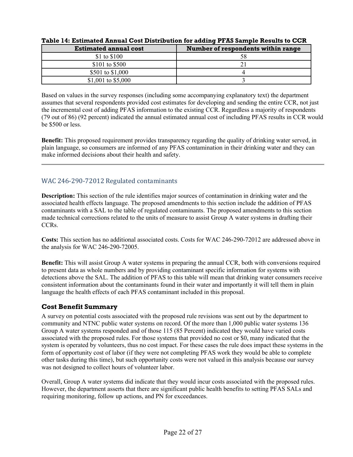| <b>Estimated annual cost</b> | Number of respondents within range |
|------------------------------|------------------------------------|
| \$1 to \$100                 |                                    |
| \$101 to \$500               |                                    |
| \$501 to \$1,000             |                                    |
| \$1,001 to \$5,000           |                                    |

#### **Table 14: Estimated Annual Cost Distribution for adding PFAS Sample Results to CCR**

Based on values in the survey responses (including some accompanying explanatory text) the department assumes that several respondents provided cost estimates for developing and sending the entire CCR, not just the incremental cost of adding PFAS information to the existing CCR. Regardless a majority of respondents (79 out of 86) (92 percent) indicated the annual estimated annual cost of including PFAS results in CCR would be \$500 or less.

**Benefit:** This proposed requirement provides transparency regarding the quality of drinking water served, in plain language, so consumers are informed of any PFAS contamination in their drinking water and they can make informed decisions about their health and safety.

# WAC 246-290-72012 Regulated contaminants

**Description:** This section of the rule identifies major sources of contamination in drinking water and the associated health effects language. The proposed amendments to this section include the addition of PFAS contaminants with a SAL to the table of regulated contaminants. The proposed amendments to this section made technical corrections related to the units of measure to assist Group A water systems in drafting their CCRs.

**Costs:** This section has no additional associated costs. Costs for WAC 246-290-72012 are addressed above in the analysis for WAC 246-290-72005.

**Benefit:** This will assist Group A water systems in preparing the annual CCR, both with conversions required to present data as whole numbers and by providing contaminant specific information for systems with detections above the SAL. The addition of PFAS to this table will mean that drinking water consumers receive consistent information about the contaminants found in their water and importantly it will tell them in plain language the health effects of each PFAS contaminant included in this proposal.

# **Cost Benefit Summary**

A survey on potential costs associated with the proposed rule revisions was sent out by the department to community and NTNC public water systems on record. Of the more than 1,000 public water systems 136 Group A water systems responded and of those 115 (85 Percent) indicated they would have varied costs associated with the proposed rules. For those systems that provided no cost or \$0, many indicated that the system is operated by volunteers, thus no cost impact. For these cases the rule does impact these systems in the form of opportunity cost of labor (if they were not completing PFAS work they would be able to complete other tasks during this time), but such opportunity costs were not valued in this analysis because our survey was not designed to collect hours of volunteer labor.

Overall, Group A water systems did indicate that they would incur costs associated with the proposed rules. However, the department asserts that there are significant public health benefits to setting PFAS SALs and requiring monitoring, follow up actions, and PN for exceedances.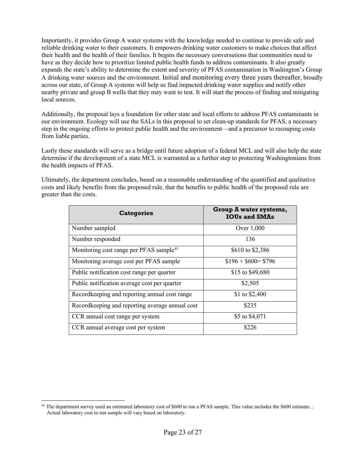Importantly, it provides Group A water systems with the knowledge needed to continue to provide safe and reliable drinking water to their customers. It empowers drinking water customers to make choices that affect their health and the health of their families. It begins the necessary conversations that communities need to have as they decide how to prioritize limited public health funds to address contaminants. It also greatly expands the state's ability to determine the extent and severity of PFAS contamination in Washington's Group A drinking water sources and the environment. Initial and monitoring every three years thereafter, broadly across our state, of Group A systems will help us find impacted drinking water supplies and notify other nearby private and group B wells that they may want to test. It will start the process of finding and mitigating local sources.

Additionally, the proposal lays a foundation for other state and local efforts to address PFAS contaminants in our environment. Ecology will use the SALs in this proposal to set clean-up standards for PFAS, a necessary step in the ongoing efforts to protect public health and the environment—and a precursor to recouping costs from liable parties.

Lastly these standards will serve as a bridge until future adoption of a federal MCL and will also help the state determine if the development of a state MCL is warranted as a further step to protecting Washingtonians from the health impacts of PFAS.

Ultimately, the department concludes, based on a reasonable understanding of the quantified and qualitative costs and likely benefits from the proposed rule, that the benefits to public health of the proposed rule are greater than the costs.

| <b>Categories</b>                                   | <b>Group A water systems,</b><br><b>IOUs and SMAs</b> |
|-----------------------------------------------------|-------------------------------------------------------|
| Number sampled                                      | Over 1,000                                            |
| Number responded                                    | 136                                                   |
| Monitoring cost range per PFAS sample <sup>41</sup> | \$610 to \$2,386                                      |
| Monitoring average cost per PFAS sample             | $$196 + $600 = $796$                                  |
| Public notification cost range per quarter          | \$15 to \$49,680                                      |
| Public notification average cost per quarter        | \$2,505                                               |
| Recordkeeping and reporting annual cost range       | \$1 to \$2,400                                        |
| Recordkeeping and reporting average annual cost     | \$235                                                 |
| CCR annual cost range per system                    | \$5 to \$4,071                                        |
| CCR annual average cost per system                  | \$226                                                 |

<span id="page-22-0"></span><sup>&</sup>lt;sup>41</sup> The department survey used an estimated laboratory cost of \$600 to run a PFAS sample. This value includes the \$600 estimate. . Actual laboratory cost to run sample will vary based on laboratory.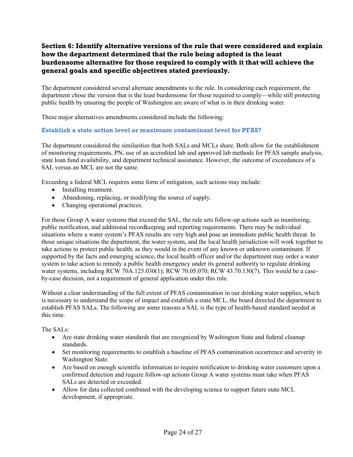# **Section 6: Identify alternative versions of the rule that were considered and explain how the department determined that the rule being adopted is the least burdensome alternative for those required to comply with it that will achieve the general goals and specific objectives stated previously.**

The department considered several alternate amendments to the rule. In considering each requirement, the department chose the version that is the least burdensome for those required to comply—while still protecting public health by ensuring the people of Washington are aware of what is in their drinking water.

These major alternatives amendments considered include the following:

### **Establish a state action level or maximum contaminant level for PFAS?**

The department considered the similarities that both SALs and MCLs share. Both allow for the establishment of monitoring requirements, PN, use of an accredited lab and approved lab methods for PFAS sample analysis, state loan fund availability, and department technical assistance. However, the outcome of exceedances of a SAL versus an MCL are not the same.

Exceeding a federal MCL requires some form of mitigation, such actions may include:

- Installing treatment.
- Abandoning, replacing, or modifying the source of supply.
- Changing operational practices.

For those Group A water systems that exceed the SAL, the rule sets follow-up actions such as monitoring, public notification, and additional recordkeeping and reporting requirements. There may be individual situations where a water system's PFAS results are very high and pose an immediate public health threat. In those unique situations the department, the water system, and the local health jurisdiction will work together to take actions to protect public health, as they would in the event of any known or unknown contaminant. If supported by the facts and emerging science, the local health officer and/or the department may order a water system to take action to remedy a public health emergency under its general authority to regulate drinking water systems, including RCW 70A.125.030(1); RCW 70.05.070; RCW 43.70.130(7). This would be a caseby-case decision, not a requirement of general application under this rule.

Without a clear understanding of the full extent of PFAS contamination in our drinking water supplies, which is necessary to understand the scope of impact and establish a state MCL, the board directed the department to establish PFAS SALs. The following are some reasons a SAL is the type of health-based standard needed at this time.

The SALs:

- Are state drinking water standards that are recognized by Washington State and federal cleanup standards.
- Set monitoring requirements to establish a baseline of PFAS contamination occurrence and severity in Washington State.
- Are based on enough scientific information to require notification to drinking water customers upon a confirmed detection and require follow-up actions Group A water systems must take when PFAS SALs are detected or exceeded.
- Allow for data collected combined with the developing science to support future state MCL development, if appropriate.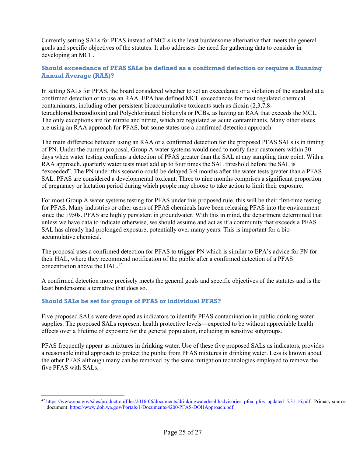Currently setting SALs for PFAS instead of MCLs is the least burdensome alternative that meets the general goals and specific objectives of the statutes. It also addresses the need for gathering data to consider in developing an MCL.

## **Should exceedance of PFAS SALs be defined as a confirmed detection or require a Running Annual Average (RAA)?**

In setting SALs for PFAS, the board considered whether to set an exceedance or a violation of the standard at a confirmed detection or to use an RAA. EPA has defined MCL exceedances for most regulated chemical contaminants, including other persistent bioaccumulative toxicants such as dioxin (2,3,7,8 tetrachlorodibenzodioxin) and Polychlorinated biphenyls or PCBs, as having an RAA that exceeds the MCL. The only exceptions are for nitrate and nitrite, which are regulated as acute contaminants. Many other states are using an RAA approach for PFAS, but some states use a confirmed detection approach.

The main difference between using an RAA or a confirmed detection for the proposed PFAS SALs is in timing of PN. Under the current proposal, Group A water systems would need to notify their customers within 30 days when water testing confirms a detection of PFAS greater than the SAL at any sampling time point. With a RAA approach, quarterly water tests must add up to four times the SAL threshold before the SAL is "exceeded". The PN under this scenario could be delayed 3-9 months after the water tests greater than a PFAS SAL. PFAS are considered a developmental toxicant. Three to nine months comprises a significant proportion of pregnancy or lactation period during which people may choose to take action to limit their exposure.

For most Group A water systems testing for PFAS under this proposed rule, this will be their first-time testing for PFAS. Many industries or other users of PFAS chemicals have been releasing PFAS into the environment since the 1950s. PFAS are highly persistent in groundwater. With this in mind, the department determined that unless we have data to indicate otherwise, we should assume and act as if a community that exceeds a PFAS SAL has already had prolonged exposure, potentially over many years. This is important for a bioaccumulative chemical.

The proposal uses a confirmed detection for PFAS to trigger PN which is similar to EPA's advice for PN for their HAL, where they recommend notification of the public after a confirmed detection of a PFAS concentration above the HAL.<sup>[42](#page-24-0)</sup>

A confirmed detection more precisely meets the general goals and specific objectives of the statutes and is the least burdensome alternative that does so.

### **Should SALs be set for groups of PFAS or individual PFAS?**

Five proposed SALs were developed as indicators to identify PFAS contamination in public drinking water supplies. The proposed SALs represent health protective levels―expected to be without appreciable health effects over a lifetime of exposure for the general population, including in sensitive subgroups.

PFAS frequently appear as mixtures in drinking water. Use of these five proposed SALs as indicators, provides a reasonable initial approach to protect the public from PFAS mixtures in drinking water. Less is known about the other PFAS although many can be removed by the same mitigation technologies employed to remove the five PFAS with SALs.

<span id="page-24-0"></span><sup>&</sup>lt;sup>42</sup> [https://www.epa.gov/sites/production/files/2016-06/documents/drinkingwaterhealthadvisories\\_pfoa\\_pfos\\_updated\\_5.31.16.pdf](https://www.epa.gov/sites/production/files/2016-06/documents/drinkingwaterhealthadvisories_pfoa_pfos_updated_5.31.16.pdf) Primary source document[: https://www.doh.wa.gov/Portals/1/Documents/4200/PFAS-DOHApproach.pdf](https://www.doh.wa.gov/Portals/1/Documents/4200/PFAS-DOHApproach.pdf)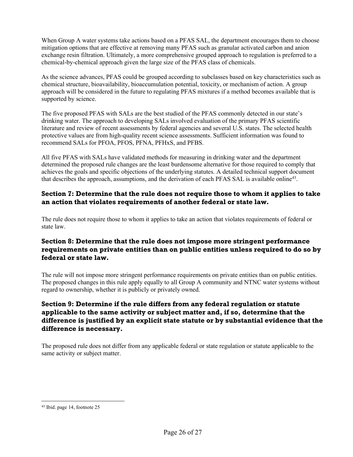When Group A water systems take actions based on a PFAS SAL, the department encourages them to choose mitigation options that are effective at removing many PFAS such as granular activated carbon and anion exchange resin filtration. Ultimately, a more comprehensive grouped approach to regulation is preferred to a chemical-by-chemical approach given the large size of the PFAS class of chemicals.

As the science advances, PFAS could be grouped according to subclasses based on key characteristics such as chemical structure, bioavailability, bioaccumulation potential, toxicity, or mechanism of action. A group approach will be considered in the future to regulating PFAS mixtures if a method becomes available that is supported by science.

The five proposed PFAS with SALs are the best studied of the PFAS commonly detected in our state's drinking water. The approach to developing SALs involved evaluation of the primary PFAS scientific literature and review of recent assessments by federal agencies and several U.S. states. The selected health protective values are from high-quality recent science assessments. Sufficient information was found to recommend SALs for PFOA, PFOS, PFNA, PFHxS, and PFBS.

All five PFAS with SALs have validated methods for measuring in drinking water and the department determined the proposed rule changes are the least burdensome alternative for those required to comply that achieves the goals and specific objections of the underlying statutes. A detailed technical support document that describes the approach, assumptions, and the derivation of each PFAS SAL is available online[43.](#page-25-0)

# **Section 7: Determine that the rule does not require those to whom it applies to take an action that violates requirements of another federal or state law.**

The rule does not require those to whom it applies to take an action that violates requirements of federal or state law.

# **Section 8: Determine that the rule does not impose more stringent performance requirements on private entities than on public entities unless required to do so by federal or state law.**

The rule will not impose more stringent performance requirements on private entities than on public entities. The proposed changes in this rule apply equally to all Group A community and NTNC water systems without regard to ownership, whether it is publicly or privately owned.

# **Section 9: Determine if the rule differs from any federal regulation or statute applicable to the same activity or subject matter and, if so, determine that the difference is justified by an explicit state statute or by substantial evidence that the difference is necessary.**

The proposed rule does not differ from any applicable federal or state regulation or statute applicable to the same activity or subject matter.

<span id="page-25-0"></span><sup>43</sup> Ibid. page 14, footnote 25